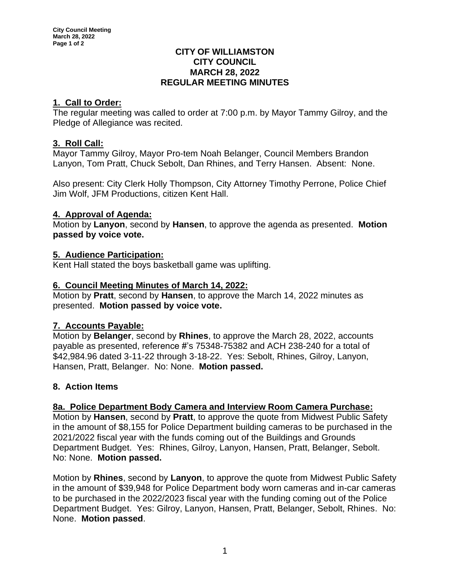### **CITY OF WILLIAMSTON CITY COUNCIL MARCH 28, 2022 REGULAR MEETING MINUTES**

# **1. Call to Order:**

The regular meeting was called to order at 7:00 p.m. by Mayor Tammy Gilroy, and the Pledge of Allegiance was recited.

# **3. Roll Call:**

Mayor Tammy Gilroy, Mayor Pro-tem Noah Belanger, Council Members Brandon Lanyon, Tom Pratt, Chuck Sebolt, Dan Rhines, and Terry Hansen. Absent: None.

Also present: City Clerk Holly Thompson, City Attorney Timothy Perrone, Police Chief Jim Wolf, JFM Productions, citizen Kent Hall.

# **4. Approval of Agenda:**

Motion by **Lanyon**, second by **Hansen**, to approve the agenda as presented. **Motion passed by voice vote.**

# **5. Audience Participation:**

Kent Hall stated the boys basketball game was uplifting.

# **6. Council Meeting Minutes of March 14, 2022:**

Motion by **Pratt**, second by **Hansen**, to approve the March 14, 2022 minutes as presented. **Motion passed by voice vote.**

## **7. Accounts Payable:**

Motion by **Belanger**, second by **Rhines**, to approve the March 28, 2022, accounts payable as presented, reference #'s 75348-75382 and ACH 238-240 for a total of \$42,984.96 dated 3-11-22 through 3-18-22. Yes: Sebolt, Rhines, Gilroy, Lanyon, Hansen, Pratt, Belanger. No: None. **Motion passed.**

# **8. Action Items**

## **8a. Police Department Body Camera and Interview Room Camera Purchase:**

Motion by **Hansen**, second by **Pratt**, to approve the quote from Midwest Public Safety in the amount of \$8,155 for Police Department building cameras to be purchased in the 2021/2022 fiscal year with the funds coming out of the Buildings and Grounds Department Budget. Yes: Rhines, Gilroy, Lanyon, Hansen, Pratt, Belanger, Sebolt. No: None. **Motion passed.**

Motion by **Rhines**, second by **Lanyon**, to approve the quote from Midwest Public Safety in the amount of \$39,948 for Police Department body worn cameras and in-car cameras to be purchased in the 2022/2023 fiscal year with the funding coming out of the Police Department Budget. Yes: Gilroy, Lanyon, Hansen, Pratt, Belanger, Sebolt, Rhines. No: None. **Motion passed**.